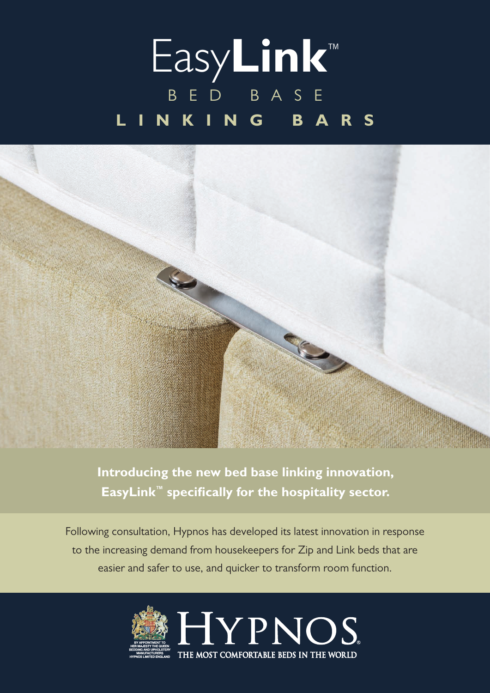## Easy**Link**™ BED BASE **LINKING BARS**



**Introducing the new bed base linking innovation, EasyLink™ specifically for the hospitality sector.**

Following consultation, Hypnos has developed its latest innovation in response to the increasing demand from housekeepers for Zip and Link beds that are easier and safer to use, and quicker to transform room function.